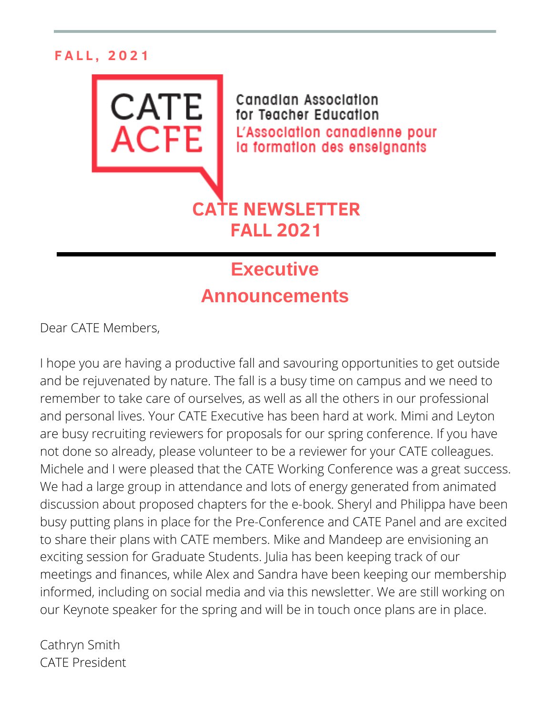### **F A L L , 2 0 2 1**



## **Executive Announcements**

Dear CATE Members,

I hope you are having a productive fall and savouring opportunities to get outside and be rejuvenated by nature. The fall is a busy time on campus and we need to remember to take care of ourselves, as well as all the others in our professional and personal lives. Your CATE Executive has been hard at work. Mimi and Leyton are busy recruiting reviewers for proposals for our spring conference. If you have not done so already, please volunteer to be a reviewer for your CATE colleagues. Michele and I were pleased that the CATE Working Conference was a great success. We had a large group in attendance and lots of energy generated from animated discussion about proposed chapters for the e-book. Sheryl and Philippa have been busy putting plans in place for the Pre-Conference and CATE Panel and are excited to share their plans with CATE members. Mike and Mandeep are envisioning an exciting session for Graduate Students. Julia has been keeping track of our meetings and finances, while Alex and Sandra have been keeping our membership informed, including on social media and via this newsletter. We are still working on our Keynote speaker for the spring and will be in touch once plans are in place.

Cathryn Smith CATE President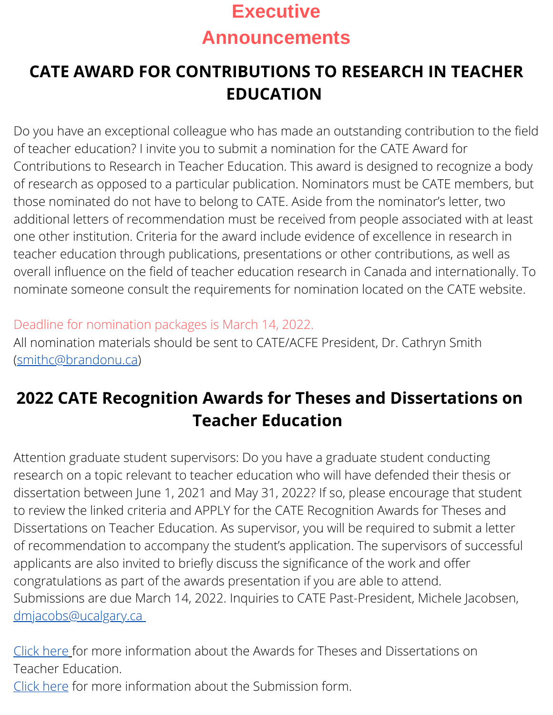## **Executive Announcements**

## **CATE AWARD FOR CONTRIBUTIONS TO RESEARCH IN TEACHER EDUCATION**

Do you have an exceptional colleague who has made an outstanding contribution to the field of teacher education? I invite you to submit a nomination for the CATE Award for Contributions to Research in Teacher Education. This award is designed to recognize a body of research as opposed to a particular publication. Nominators must be CATE members, but those nominated do not have to belong to CATE. Aside from the nominator's letter, two additional letters of recommendation must be received from people associated with at least one other institution. Criteria for the award include evidence of excellence in research in teacher education through publications, presentations or other contributions, as well as overall influence on the field of teacher education research in Canada and internationally. To nominate someone consult the requirements for nomination located on the CATE website.

Deadline for nomination packages is March 14, 2022. All nomination materials should be sent to CATE/ACFE President, Dr. Cathryn Smith ([smithc@brandonu.ca\)](mailto:smithc@brandonu.ca)

## **2022 CATE Recognition Awards for Theses and Dissertations on Teacher Education**

Attention graduate student supervisors: Do you have a graduate student conducting research on a topic relevant to teacher education who will have defended their thesis or dissertation between June 1, 2021 and May 31, 2022? If so, please encourage that student to review the linked criteria and APPLY for the CATE Recognition Awards for Theses and Dissertations on Teacher Education. As supervisor, you will be required to submit a letter of recommendation to accompany the student's application. The supervisors of successful applicants are also invited to briefly discuss the significance of the work and offer congratulations as part of the awards presentation if you are able to attend. Submissions are due March 14, 2022. Inquiries to CATE Past-President, Michele Jacobsen, [dmjacobs@ucalgary.ca](mailto:dmjacobs@ucalgary.ca)

Click [here](http://cate-acfe.ca/wp-content/uploads/2021/10/2022-Call-for-Nominations-grad-award-EN-1.pdf) [f](http://cate-acfe.ca/wp-content/uploads/2021/10/2022-Call-for-Nominations-grad-award-EN-1.pdf)or more information about the Awards for Theses and Dissertations on Teacher Education.

Click [here](http://cate-acfe.ca/wp-content/uploads/2021/10/2022Grad-Award-Application-EN-2.docx) for more information about the Submission form.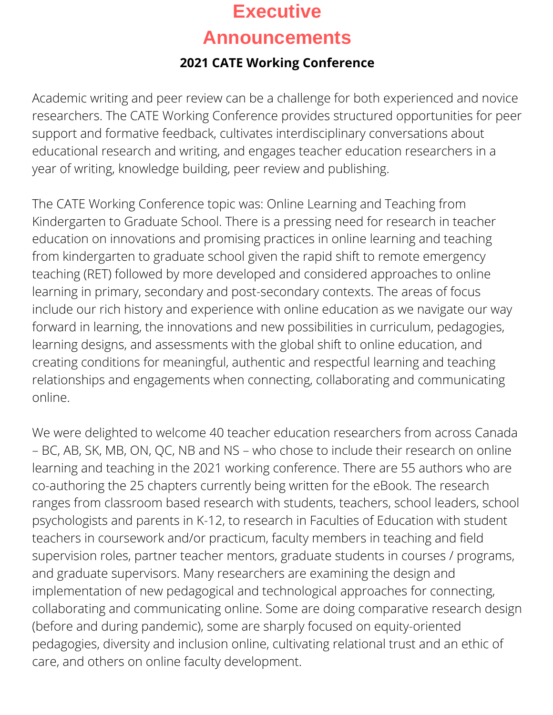# **Executive Announcements**

### **2021 CATE Working Conference**

Academic writing and peer review can be a challenge for both experienced and novice researchers. The CATE Working Conference provides structured opportunities for peer support and formative feedback, cultivates interdisciplinary conversations about educational research and writing, and engages teacher education researchers in a year of writing, knowledge building, peer review and publishing.

The CATE Working Conference topic was: Online Learning and Teaching from Kindergarten to Graduate School. There is a pressing need for research in teacher education on innovations and promising practices in online learning and teaching from kindergarten to graduate school given the rapid shift to remote emergency teaching (RET) followed by more developed and considered approaches to online learning in primary, secondary and post-secondary contexts. The areas of focus include our rich history and experience with online education as we navigate our way forward in learning, the innovations and new possibilities in curriculum, pedagogies, learning designs, and assessments with the global shift to online education, and creating conditions for meaningful, authentic and respectful learning and teaching relationships and engagements when connecting, collaborating and communicating online.

We were delighted to welcome 40 teacher education researchers from across Canada – BC, AB, SK, MB, ON, QC, NB and NS – who chose to include their research on online learning and teaching in the 2021 working conference. There are 55 authors who are co-authoring the 25 chapters currently being written for the eBook. The research ranges from classroom based research with students, teachers, school leaders, school psychologists and parents in K-12, to research in Faculties of Education with student teachers in coursework and/or practicum, faculty members in teaching and field supervision roles, partner teacher mentors, graduate students in courses / programs, and graduate supervisors. Many researchers are examining the design and implementation of new pedagogical and technological approaches for connecting, collaborating and communicating online. Some are doing comparative research design (before and during pandemic), some are sharply focused on equity-oriented pedagogies, diversity and inclusion online, cultivating relational trust and an ethic of care, and others on online faculty development.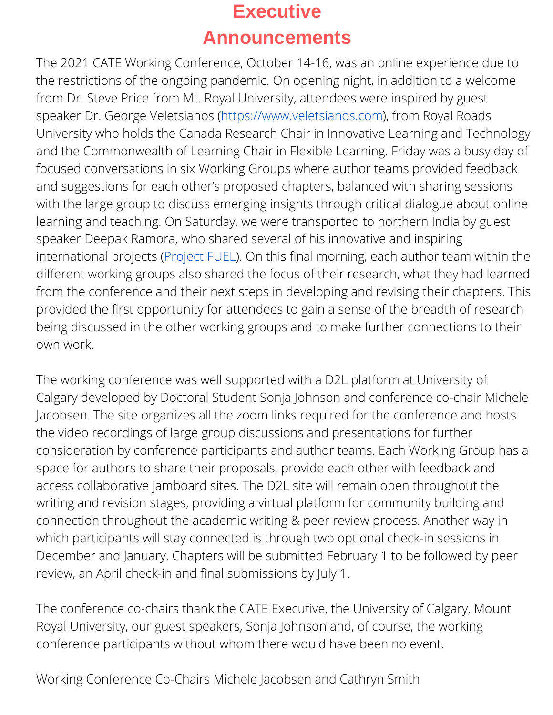## **Executive Announcements**

The 2021 CATE Working Conference, October 14-16, was an online experience due to the restrictions of the ongoing pandemic. On opening night, in addition to a welcome from Dr. Steve Price from Mt. Royal University, attendees were inspired by guest speaker Dr. George Veletsianos ([https://www.veletsianos.com\)](https://www.veletsianos.com/), from Royal Roads University who holds the Canada Research Chair in Innovative Learning and Technology and the Commonwealth of Learning Chair in Flexible Learning. Friday was a busy day of focused conversations in six Working Groups where author teams provided feedback and suggestions for each other's proposed chapters, balanced with sharing sessions with the large group to discuss emerging insights through critical dialogue about online learning and teaching. On Saturday, we were transported to northern India by guest speaker Deepak Ramora, who shared several of his innovative and inspiring international projects ([Project](http://www.projectfuel.in/) FUEL). On this final morning, each author team within the different working groups also shared the focus of their research, what they had learned from the conference and their next steps in developing and revising their chapters. This provided the first opportunity for attendees to gain a sense of the breadth of research being discussed in the other working groups and to make further connections to their own work.

The working conference was well supported with a D2L platform at University of Calgary developed by Doctoral Student Sonja Johnson and conference co-chair Michele Jacobsen. The site organizes all the zoom links required for the conference and hosts the video recordings of large group discussions and presentations for further consideration by conference participants and author teams. Each Working Group has a space for authors to share their proposals, provide each other with feedback and access collaborative jamboard sites. The D2L site will remain open throughout the writing and revision stages, providing a virtual platform for community building and connection throughout the academic writing & peer review process. Another way in which participants will stay connected is through two optional check-in sessions in December and January. Chapters will be submitted February 1 to be followed by peer review, an April check-in and final submissions by July 1.

The conference co-chairs thank the CATE Executive, the University of Calgary, Mount Royal University, our guest speakers, Sonja Johnson and, of course, the working conference participants without whom there would have been no event.

Working Conference Co-Chairs Michele Jacobsen and Cathryn Smith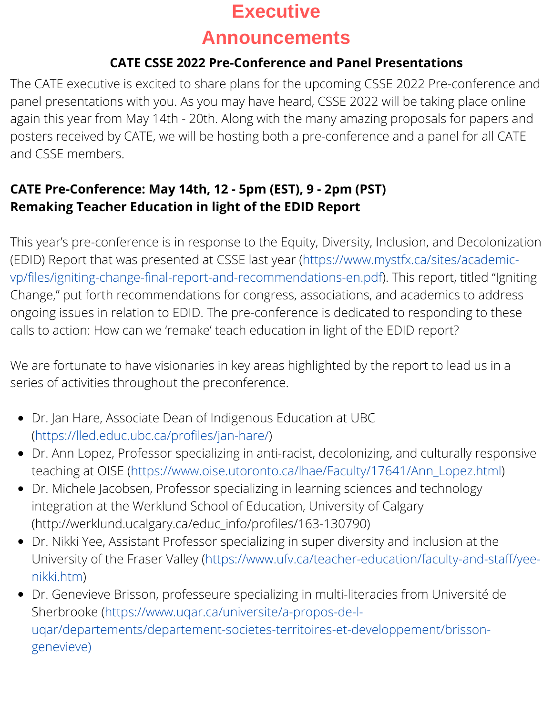## **Executive**

### **Announcements**

### **CATE CSSE 2022 Pre-Conference and Panel Presentations**

The CATE executive is excited to share plans for the upcoming CSSE 2022 Pre-conference and panel presentations with you. As you may have heard, CSSE 2022 will be taking place online again this year from May 14th - 20th. Along with the many amazing proposals for papers and posters received by CATE, we will be hosting both a pre-conference and a panel for all CATE and CSSE members.

### **CATE Pre-Conference: May 14th, 12 - 5pm (EST), 9 - 2pm (PST) Remaking Teacher Education in light of the EDID Report**

This year's pre-conference is in response to the Equity, Diversity, Inclusion, and Decolonization (EDID) Report that was presented at CSSE last year (https://www.mystfx.ca/sites/academic[vp/files/igniting-change-final-report-and-recommendations-en.pdf\).](https://www.mystfx.ca/sites/academic-vp/files/igniting-change-final-report-and-recommendations-en.pdf) This report, titled "Igniting Change," put forth recommendations for congress, associations, and academics to address ongoing issues in relation to EDID. The pre-conference is dedicated to responding to these calls to action: How can we 'remake' teach education in light of the EDID report?

We are fortunate to have visionaries in key areas highlighted by the report to lead us in a series of activities throughout the preconference.

- Dr. Jan Hare, Associate Dean of Indigenous Education at UBC ([https://lled.educ.ubc.ca/profiles/jan-hare/\)](https://lled.educ.ubc.ca/profiles/jan-hare/)
- Dr. Ann Lopez, Professor specializing in anti-racist, decolonizing, and culturally responsive teaching at OISE ([https://www.oise.utoronto.ca/lhae/Faculty/17641/Ann\\_Lopez.html\)](https://www.oise.utoronto.ca/lhae/Faculty/17641/Ann_Lopez.html)
- Dr. Michele Jacobsen, Professor specializing in learning sciences and technology integration at the Werklund School of Education, University of Calgary ([http://werklund.ucalgary.ca/educ\\_info/profiles/163-130790](http://werklund.ucalgary.ca/educ_info/profiles/163-130790))
- Dr. Nikki Yee, Assistant Professor specializing in super diversity and inclusion at the University of the Fraser Valley [\(https://www.ufv.ca/teacher-education/faculty-and-staff/yee](https://www.ufv.ca/teacher-education/faculty-and-staff/yee-nikki.htm)nikki.htm)
- Dr. Genevieve Brisson, professeure specializing in multi-literacies from Université de Sherbrooke (https://www.uqar.ca/universite/a-propos-de-l[uqar/departements/departement-societes-territoires-et-developpement/brisson](https://www.uqar.ca/universite/a-propos-de-l-uqar/departements/departement-societes-territoires-et-developpement/brisson-genevieve)genevieve)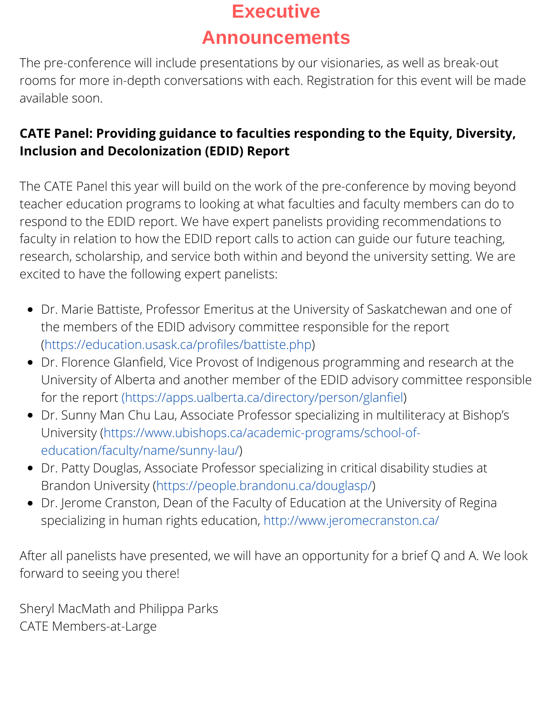# **Executive**

## **Announcements**

The pre-conference will include presentations by our visionaries, as well as break-out rooms for more in-depth conversations with each. Registration for this event will be made available soon.

### **CATE Panel: Providing guidance to faculties responding to the Equity, Diversity, Inclusion and Decolonization (EDID) Report**

The CATE Panel this year will build on the work of the pre-conference by moving beyond teacher education programs to looking at what faculties and faculty members can do to respond to the EDID report. We have expert panelists providing recommendations to faculty in relation to how the EDID report calls to action can guide our future teaching, research, scholarship, and service both within and beyond the university setting. We are excited to have the following expert panelists:

- Dr. Marie Battiste, Professor Emeritus at the University of Saskatchewan and one of the members of the EDID advisory committee responsible for the report (<https://education.usask.ca/profiles/battiste.php>)
- Dr. Florence Glanfield, Vice Provost of Indigenous programming and research at the University of Alberta and another member of the EDID advisory committee responsible for the report (<https://apps.ualberta.ca/directory/person/glanfiel>)
- Dr. Sunny Man Chu Lau, Associate Professor specializing in multiliteracy at Bishop's University [\(https://www.ubishops.ca/academic-programs/school-of](https://www.ubishops.ca/academic-programs/school-of-education/faculty/name/sunny-lau/)education/faculty/name/sunny-lau/)
- Dr. Patty Douglas, Associate Professor specializing in critical disability studies at Brandon University [\(https://people.brandonu.ca/douglasp/](https://people.brandonu.ca/douglasp/))
- Dr. Jerome Cranston, Dean of the Faculty of Education at the University of Regina specializing in human rights education, <http://www.jeromecranston.ca/>

After all panelists have presented, we will have an opportunity for a brief Q and A. We look forward to seeing you there!

Sheryl MacMath and Philippa Parks CATE Members-at-Large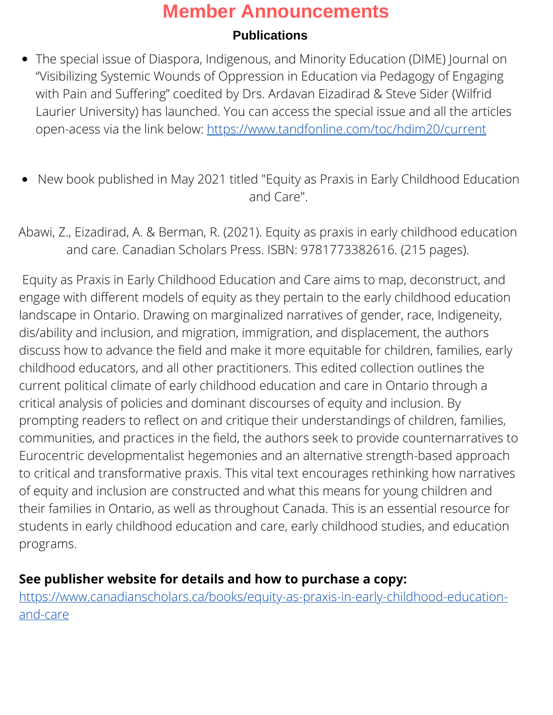#### **Publications**

- The special issue of Diaspora, Indigenous, and Minority Education (DIME) Journal on "Visibilizing Systemic Wounds of Oppression in Education via Pedagogy of Engaging with Pain and Suffering" coedited by Drs. Ardavan Eizadirad & Steve Sider (Wilfrid Laurier University) has launched. You can access the special issue and all the articles open-acess via the link below: <https://www.tandfonline.com/toc/hdim20/current>
- New book published in May 2021 titled "Equity as Praxis in Early Childhood Education and Care".

Abawi, Z., Eizadirad, A. & Berman, R. (2021). Equity as praxis in early childhood education and care. Canadian Scholars Press. ISBN: [9781773382616.](https://can01.safelinks.protection.outlook.com/?url=https%3A%2F%2Furldefense.com%2Fv3%2F__https%3A%2Flinkprotect.cudasvc.com%2Furl%3Fa%3Dhttps*3a*2f*2fwww.canadianscholars.ca*2fbooks*2fequity-as-praxis-in-early-childhood-education-and-care*23tab_overview%26c%3DE%2C1%2C27NSfXCsPbepLLNvK8LkNFZsKpaWRkKgQJRwOu2EqyfQNTp6Gl66Wwd7qkLEjqO5GrZra_72EZeUNjarMCyzmTJUJO3N7RSsO4sHfeQdBTBUjGBEa6czwwepEFoijw%2C%2C%26typo%3D1__%3BJSUlJSUl!!LkSTlj0I!V6eFIpfZIfNlbs0EdNYVY7clL3ETCZPy2CBqf54UmHjKKE2GzR_N3qi82SWuH-pb%24&data=04%7C01%7Calexandre.alves.mesquita%40usherbrooke.ca%7Cd15790e6778740caf58708d988490a2c%7C3a5a8744593545f99423b32c3a5de082%7C0%7C0%7C637690671232837106%7CUnknown%7CTWFpbGZsb3d8eyJWIjoiMC4wLjAwMDAiLCJQIjoiV2luMzIiLCJBTiI6Ik1haWwiLCJXVCI6Mn0%3D%7C3000&sdata=0qEOVGso1DPqt5TYz6jE6QHXI6gMhES3lcL%2BtHQ%2BLLI%3D&reserved=0) (215 pages).

Equity as Praxis in Early Childhood Education and Care aims to map, deconstruct, and engage with different models of equity as they pertain to the early childhood education landscape in Ontario. Drawing on marginalized narratives of gender, race, Indigeneity, dis/ability and inclusion, and migration, immigration, and displacement, the authors discuss how to advance the field and make it more equitable for children, families, early childhood educators, and all other practitioners. This edited collection outlines the current political climate of early childhood education and care in Ontario through a critical analysis of policies and dominant discourses of equity and inclusion. By prompting readers to reflect on and critique their understandings of children, families, communities, and practices in the field, the authors seek to provide counternarratives to Eurocentric developmentalist hegemonies and an alternative strength-based approach to critical and transformative praxis. This vital text encourages rethinking how narratives of equity and inclusion are constructed and what this means for young children and their families in Ontario, as well as throughout Canada. This is an essential resource for students in early childhood education and care, early childhood studies, and education programs.

### **See publisher website for details and how to purchase a copy:**

[https://www.canadianscholars.ca/books/equity-as-praxis-in-early-childhood-education](https://www.canadianscholars.ca/books/equity-as-praxis-in-early-childhood-education-and-care)and-care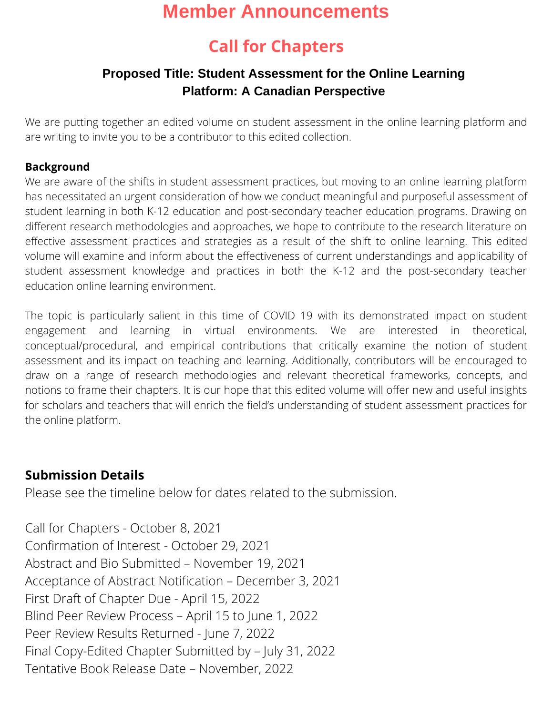## **Call for Chapters**

### **Proposed Title: Student Assessment for the Online Learning Platform: A Canadian Perspective**

We are putting together an edited volume on student assessment in the online learning platform and are writing to invite you to be a contributor to this edited collection.

#### **Background**

We are aware of the shifts in student assessment practices, but moving to an online learning platform has necessitated an urgent consideration of how we conduct meaningful and purposeful assessment of student learning in both K-12 education and post-secondary teacher education programs. Drawing on different research methodologies and approaches, we hope to contribute to the research literature on effective assessment practices and strategies as a result of the shift to online learning. This edited volume will examine and inform about the effectiveness of current understandings and applicability of student assessment knowledge and practices in both the K-12 and the post-secondary teacher education online learning environment.

The topic is particularly salient in this time of COVID 19 with its demonstrated impact on student engagement and learning in virtual environments. We are interested in theoretical, conceptual/procedural, and empirical contributions that critically examine the notion of student assessment and its impact on teaching and learning. Additionally, contributors will be encouraged to draw on a range of research methodologies and relevant theoretical frameworks, concepts, and notions to frame their chapters. It is our hope that this edited volume will offer new and useful insights for scholars and teachers that will enrich the field's understanding of student assessment practices for the online platform.

#### **Submission Details**

Please see the timeline below for dates related to the submission.

Call for Chapters - October 8, 2021 Confirmation of Interest - October 29, 2021 Abstract and Bio Submitted – November 19, 2021 Acceptance of Abstract Notification – December 3, 2021 First Draft of Chapter Due - April 15, 2022 Blind Peer Review Process – April 15 to June 1, 2022 Peer Review Results Returned - June 7, 2022 Final Copy-Edited Chapter Submitted by – July 31, 2022 Tentative Book Release Date – November, 2022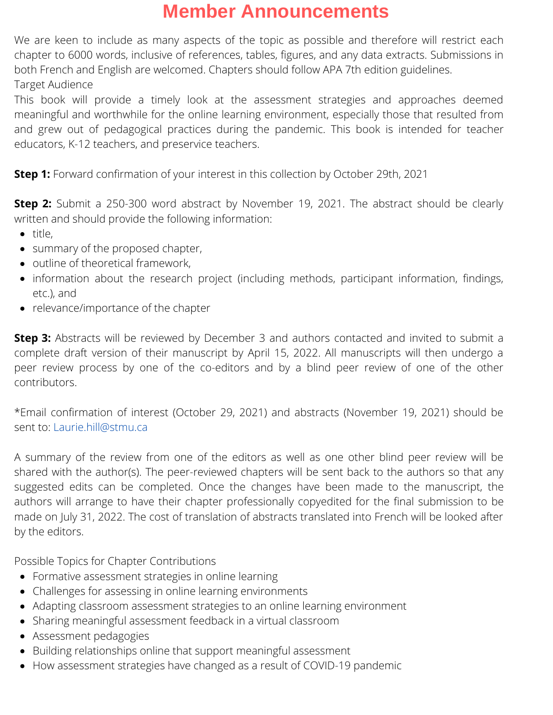We are keen to include as many aspects of the topic as possible and therefore will restrict each chapter to 6000 words, inclusive of references, tables, figures, and any data extracts. Submissions in both French and English are welcomed. Chapters should follow APA 7th edition guidelines. Target Audience

This book will provide a timely look at the assessment strategies and approaches deemed meaningful and worthwhile for the online learning environment, especially those that resulted from and grew out of pedagogical practices during the pandemic. This book is intended for teacher educators, K-12 teachers, and preservice teachers.

**Step 1:** Forward confirmation of your interest in this collection by October 29th, 2021

**Step 2:** Submit a 250-300 word abstract by November 19, 2021. The abstract should be clearly written and should provide the following information:

- $\bullet$  title.
- summary of the proposed chapter,
- outline of theoretical framework,
- information about the research project (including methods, participant information, findings, etc.), and
- relevance/importance of the chapter

**Step 3:** Abstracts will be reviewed by December 3 and authors contacted and invited to submit a complete draft version of their manuscript by April 15, 2022. All manuscripts will then undergo a peer review process by one of the co-editors and by a blind peer review of one of the other contributors.

\*Email confirmation of interest (October 29, 2021) and abstracts (November 19, 2021) should be sent to: Laurie hill@stmu.ca

A summary of the review from one of the editors as well as one other blind peer review will be shared with the author(s). The peer-reviewed chapters will be sent back to the authors so that any suggested edits can be completed. Once the changes have been made to the manuscript, the authors will arrange to have their chapter professionally copyedited for the final submission to be made on July 31, 2022. The cost of translation of abstracts translated into French will be looked after by the editors.

Possible Topics for Chapter Contributions

- Formative assessment strategies in online learning
- Challenges for assessing in online learning environments
- Adapting classroom assessment strategies to an online learning environment
- Sharing meaningful assessment feedback in a virtual classroom
- Assessment pedagogies
- Building relationships online that support meaningful assessment
- How assessment strategies have changed as a result of COVID-19 pandemic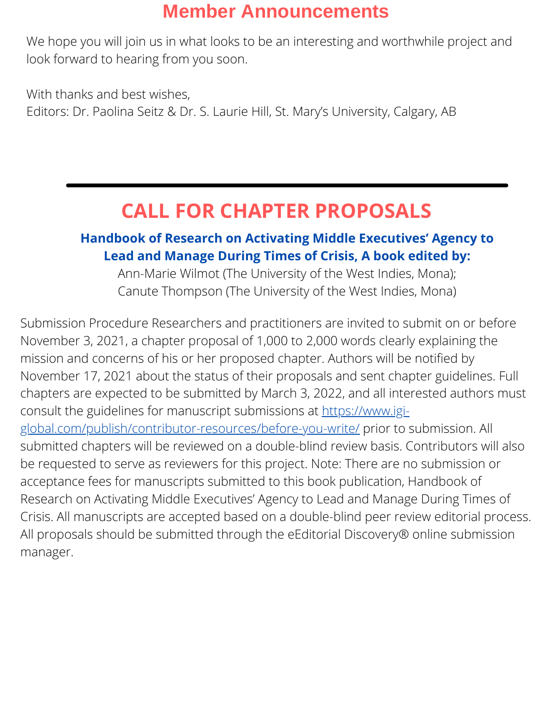We hope you will join us in what looks to be an interesting and worthwhile project and look forward to hearing from you soon.

With thanks and best wishes, Editors: Dr. Paolina Seitz & Dr. S. Laurie Hill, St. Mary's University, Calgary, AB

## **CALL FOR CHAPTER PROPOSALS**

### **Handbook of Research on Activating Middle Executives' Agency to Lead and Manage During Times of Crisis, A book edited by:**

Ann-Marie Wilmot (The University of the West Indies, Mona); Canute Thompson (The University of the West Indies, Mona)

Submission Procedure Researchers and practitioners are invited to submit on or before November 3, 2021, a chapter proposal of 1,000 to 2,000 words clearly explaining the mission and concerns of his or her proposed chapter. Authors will be notified by November 17, 2021 about the status of their proposals and sent chapter guidelines. Full chapters are expected to be submitted by March 3, 2022, and all interested authors must consult the guidelines for manuscript submissions at https://www.igi[global.com/publish/contributor-resources/before-you-write/](https://www.igi-global.com/publish/contributor-resources/before-you-write/) prior to submission. All submitted chapters will be reviewed on a double-blind review basis. Contributors will also be requested to serve as reviewers for this project. Note: There are no submission or acceptance fees for manuscripts submitted to this book publication, Handbook of Research on Activating Middle Executives' Agency to Lead and Manage During Times of Crisis. All manuscripts are accepted based on a double-blind peer review editorial process. All proposals should be submitted through the eEditorial Discovery® online submission manager.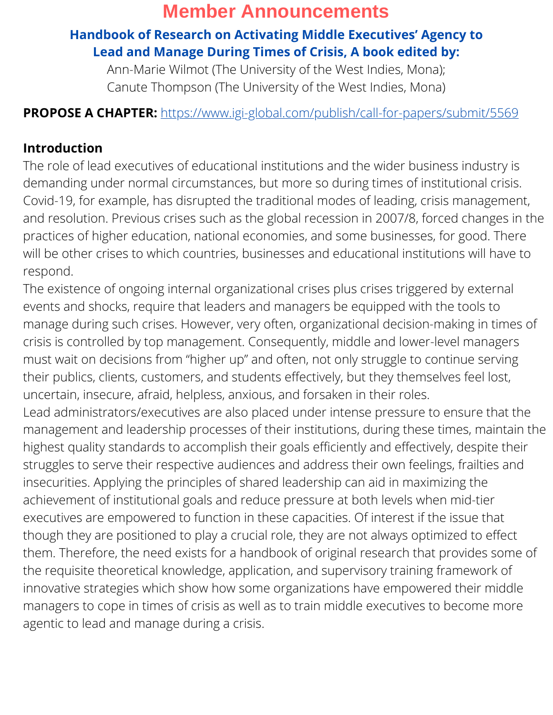### **Handbook of Research on Activating Middle Executives' Agency to Lead and Manage During Times of Crisis, A book edited by:**

Ann-Marie Wilmot (The University of the West Indies, Mona); Canute Thompson (The University of the West Indies, Mona)

### **PROPOSE A CHAPTER:** <https://www.igi-global.com/publish/call-for-papers/submit/5569>

### **Introduction**

The role of lead executives of educational institutions and the wider business industry is demanding under normal circumstances, but more so during times of institutional crisis. Covid-19, for example, has disrupted the traditional modes of leading, crisis management, and resolution. Previous crises such as the global recession in 2007/8, forced changes in the practices of higher education, national economies, and some businesses, for good. There will be other crises to which countries, businesses and educational institutions will have to respond.

The existence of ongoing internal organizational crises plus crises triggered by external events and shocks, require that leaders and managers be equipped with the tools to manage during such crises. However, very often, organizational decision-making in times of crisis is controlled by top management. Consequently, middle and lower-level managers must wait on decisions from "higher up" and often, not only struggle to continue serving their publics, clients, customers, and students effectively, but they themselves feel lost, uncertain, insecure, afraid, helpless, anxious, and forsaken in their roles.

Lead administrators/executives are also placed under intense pressure to ensure that the management and leadership processes of their institutions, during these times, maintain the highest quality standards to accomplish their goals efficiently and effectively, despite their struggles to serve their respective audiences and address their own feelings, frailties and insecurities. Applying the principles of shared leadership can aid in maximizing the achievement of institutional goals and reduce pressure at both levels when mid-tier executives are empowered to function in these capacities. Of interest if the issue that though they are positioned to play a crucial role, they are not always optimized to effect them. Therefore, the need exists for a handbook of original research that provides some of the requisite theoretical knowledge, application, and supervisory training framework of innovative strategies which show how some organizations have empowered their middle managers to cope in times of crisis as well as to train middle executives to become more agentic to lead and manage during a crisis.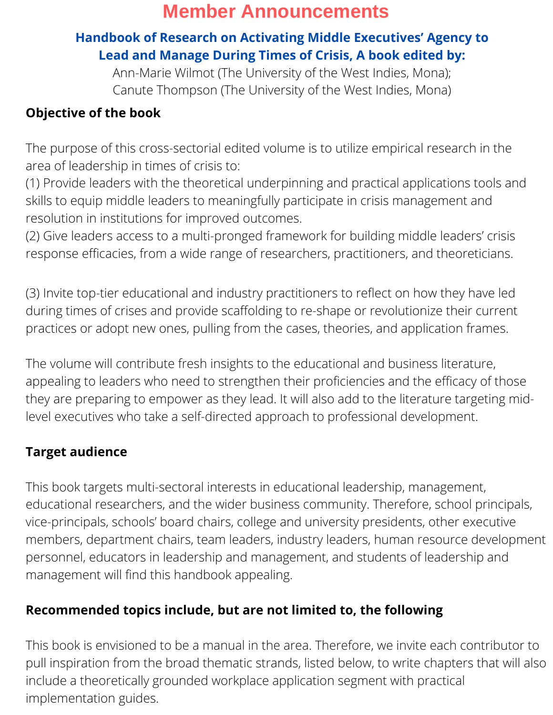### **Handbook of Research on Activating Middle Executives' Agency to Lead and Manage During Times of Crisis, A book edited by:**

Ann-Marie Wilmot (The University of the West Indies, Mona); Canute Thompson (The University of the West Indies, Mona)

### **Objective of the book**

The purpose of this cross-sectorial edited volume is to utilize empirical research in the area of leadership in times of crisis to:

(1) Provide leaders with the theoretical underpinning and practical applications tools and skills to equip middle leaders to meaningfully participate in crisis management and resolution in institutions for improved outcomes.

(2) Give leaders access to a multi-pronged framework for building middle leaders' crisis response efficacies, from a wide range of researchers, practitioners, and theoreticians.

(3) Invite top-tier educational and industry practitioners to reflect on how they have led during times of crises and provide scaffolding to re-shape or revolutionize their current practices or adopt new ones, pulling from the cases, theories, and application frames.

The volume will contribute fresh insights to the educational and business literature, appealing to leaders who need to strengthen their proficiencies and the efficacy of those they are preparing to empower as they lead. It will also add to the literature targeting midlevel executives who take a self-directed approach to professional development.

### **Target audience**

This book targets multi-sectoral interests in educational leadership, management, educational researchers, and the wider business community. Therefore, school principals, vice-principals, schools' board chairs, college and university presidents, other executive members, department chairs, team leaders, industry leaders, human resource development personnel, educators in leadership and management, and students of leadership and management will find this handbook appealing.

### **Recommended topics include, but are not limited to, the following**

This book is envisioned to be a manual in the area. Therefore, we invite each contributor to pull inspiration from the broad thematic strands, listed below, to write chapters that will also include a theoretically grounded workplace application segment with practical implementation guides.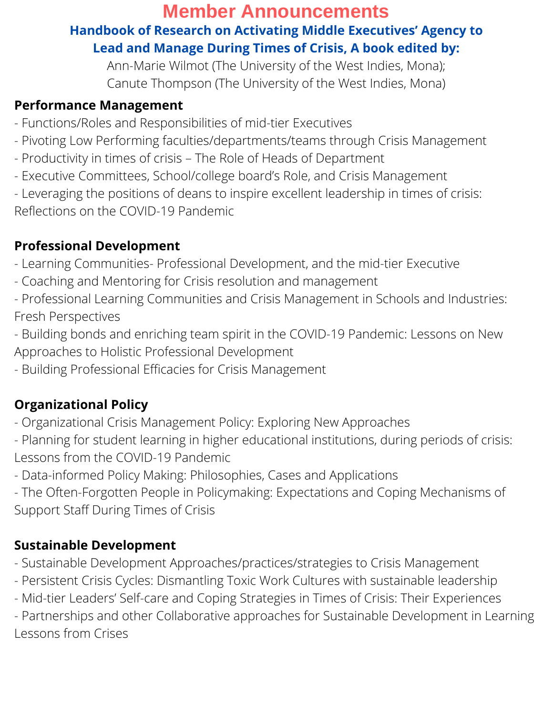### **Member Announcements Handbook of Research on Activating Middle Executives' Agency to Lead and Manage During Times of Crisis, A book edited by:**

Ann-Marie Wilmot (The University of the West Indies, Mona); Canute Thompson (The University of the West Indies, Mona)

### **Performance Management**

- Functions/Roles and Responsibilities of mid-tier Executives
- Pivoting Low Performing faculties/departments/teams through Crisis Management
- Productivity in times of crisis The Role of Heads of Department
- Executive Committees, School/college board's Role, and Crisis Management

- Leveraging the positions of deans to inspire excellent leadership in times of crisis: Reflections on the COVID-19 Pandemic

### **Professional Development**

- Learning Communities- Professional Development, and the mid-tier Executive
- Coaching and Mentoring for Crisis resolution and management
- Professional Learning Communities and Crisis Management in Schools and Industries: Fresh Perspectives
- Building bonds and enriching team spirit in the COVID-19 Pandemic: Lessons on New Approaches to Holistic Professional Development
- Building Professional Efficacies for Crisis Management

### **Organizational Policy**

- Organizational Crisis Management Policy: Exploring New Approaches
- Planning for student learning in higher educational institutions, during periods of crisis: Lessons from the COVID-19 Pandemic
- Data-informed Policy Making: Philosophies, Cases and Applications
- The Often-Forgotten People in Policymaking: Expectations and Coping Mechanisms of Support Staff During Times of Crisis

### **Sustainable Development**

- Sustainable Development Approaches/practices/strategies to Crisis Management
- Persistent Crisis Cycles: Dismantling Toxic Work Cultures with sustainable leadership
- Mid-tier Leaders' Self-care and Coping Strategies in Times of Crisis: Their Experiences

- Partnerships and other Collaborative approaches for Sustainable Development in Learning Lessons from Crises